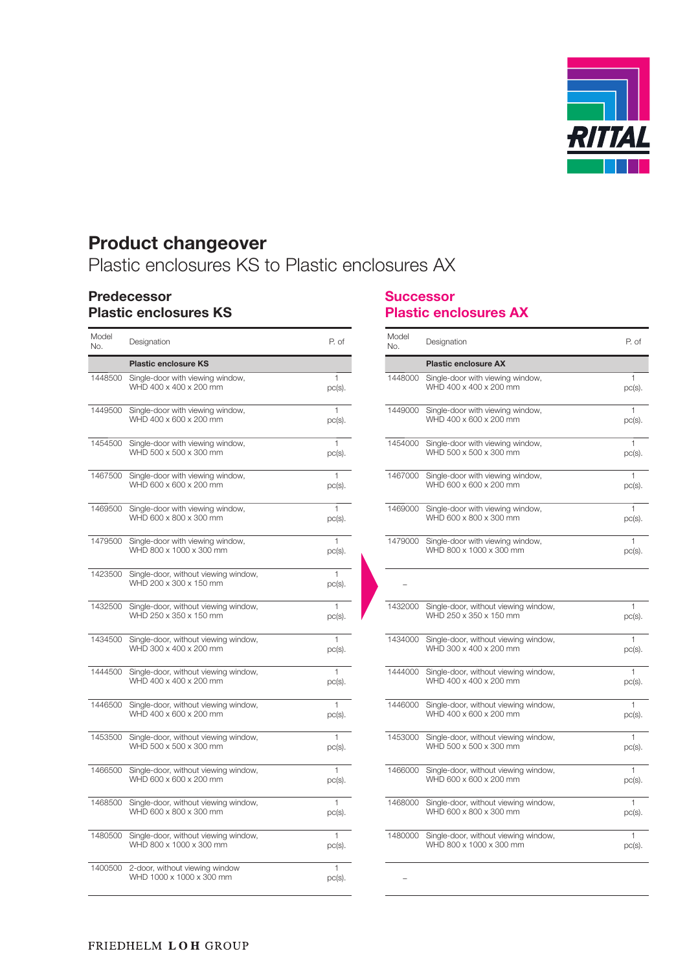

# **Product changeover**

Plastic enclosures KS to Plastic enclosures AX

### **Predecessor Plastic enclosures KS**

| Model<br>No. | Designation                                                     | P. of                     |
|--------------|-----------------------------------------------------------------|---------------------------|
|              | <b>Plastic enclosure KS</b>                                     |                           |
| 1448500      | Single-door with viewing window,<br>WHD 400 x 400 x 200 mm      | 1<br>$pc(s)$ .            |
| 1449500      | Single-door with viewing window,<br>WHD 400 x 600 x 200 mm      | 1<br>$pc(s)$ .            |
| 1454500      | Single-door with viewing window,<br>WHD 500 x 500 x 300 mm      | 1<br>$pc(s)$ .            |
| 1467500      | Single-door with viewing window,<br>WHD 600 x 600 x 200 mm      | 1<br>$pc(s)$ .            |
| 1469500      | Single-door with viewing window,<br>WHD 600 x 800 x 300 mm      | 1<br>$pc(s)$ .            |
| 1479500      | Single-door with viewing window,<br>WHD 800 x 1000 x 300 mm     | $\mathbf{1}$<br>$pc(s)$ . |
| 1423500      | Single-door, without viewing window,<br>WHD 200 x 300 x 150 mm  | 1<br>$pc(s)$ .            |
| 1432500      | Single-door, without viewing window,<br>WHD 250 x 350 x 150 mm  | 1<br>$pc(s)$ .            |
| 1434500      | Single-door, without viewing window,<br>WHD 300 x 400 x 200 mm  | 1<br>$pc(s)$ .            |
| 1444500      | Single-door, without viewing window,<br>WHD 400 x 400 x 200 mm  | 1<br>$pc(s)$ .            |
| 1446500      | Single-door, without viewing window,<br>WHD 400 x 600 x 200 mm  | 1<br>$pc(s)$ .            |
| 1453500      | Single-door, without viewing window,<br>WHD 500 x 500 x 300 mm  | 1<br>$pc(s)$ .            |
| 1466500      | Single-door, without viewing window,<br>WHD 600 x 600 x 200 mm  | 1<br>$pc(s)$ .            |
| 1468500      | Single-door, without viewing window,<br>WHD 600 x 800 x 300 mm  | 1<br>$pc(s)$ .            |
| 1480500      | Single-door, without viewing window,<br>WHD 800 x 1000 x 300 mm | 1<br>$pc(s)$ .            |
| 1400500      | 2-door, without viewing window<br>WHD 1000 x 1000 x 300 mm      | 1<br>$pc(s)$ .            |

### **Successor Plastic enclosures AX**

| Model<br>No. | Designation                                                     | P. of                     |
|--------------|-----------------------------------------------------------------|---------------------------|
|              | <b>Plastic enclosure AX</b>                                     |                           |
| 1448000      | Single-door with viewing window,<br>WHD 400 x 400 x 200 mm      | 1<br>$pc(s)$ .            |
| 1449000      | Single-door with viewing window,<br>WHD 400 x 600 x 200 mm      | 1<br>$pc(s)$ .            |
| 1454000      | Single-door with viewing window,<br>WHD 500 x 500 x 300 mm      | 1<br>$pc(s)$ .            |
| 1467000      | Single-door with viewing window,<br>WHD 600 x 600 x 200 mm      | 1<br>$pc(s)$ .            |
| 1469000      | Single-door with viewing window,<br>WHD 600 x 800 x 300 mm      | 1<br>$pc(s)$ .            |
| 1479000      | Single-door with viewing window,<br>WHD 800 x 1000 x 300 mm     | 1<br>$pc(s)$ .            |
|              |                                                                 |                           |
| 1432000      | Single-door, without viewing window,<br>WHD 250 x 350 x 150 mm  | 1<br>$pc(s)$ .            |
| 1434000      | Single-door, without viewing window,<br>WHD 300 x 400 x 200 mm  | 1<br>$pc(s)$ .            |
| 1444000      | Single-door, without viewing window,<br>WHD 400 x 400 x 200 mm  | 1<br>$pc(s)$ .            |
| 1446000      | Single-door, without viewing window,<br>WHD 400 x 600 x 200 mm  | $\mathbf{1}$<br>$pc(s)$ . |
| 1453000      | Single-door, without viewing window,<br>WHD 500 x 500 x 300 mm  | 1<br>$pc(s)$ .            |
| 1466000      | Single-door, without viewing window,<br>WHD 600 x 600 x 200 mm  | 1<br>$pc(s)$ .            |
| 1468000      | Single-door, without viewing window,<br>WHD 600 x 800 x 300 mm  | 1<br>$pc(s)$ .            |
| 1480000      | Single-door, without viewing window,<br>WHD 800 x 1000 x 300 mm | 1<br>$pc(s)$ .            |
|              |                                                                 |                           |